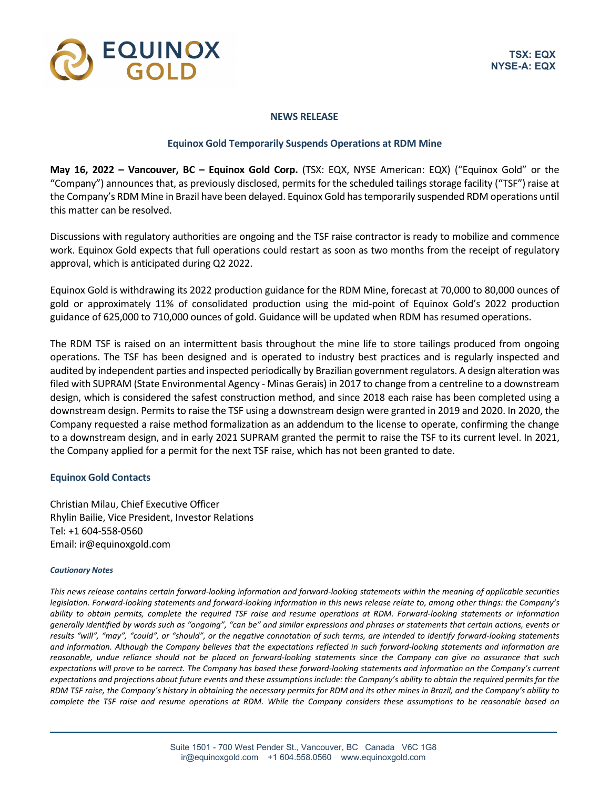

## **NEWS RELEASE**

## **Equinox Gold Temporarily Suspends Operations at RDM Mine**

**May 16, 2022 – Vancouver, BC – Equinox Gold Corp.** (TSX: EQX, NYSE American: EQX) ("Equinox Gold" or the "Company") announces that, as previously disclosed, permits for the scheduled tailings storage facility ("TSF") raise at the Company's RDM Mine in Brazil have been delayed. Equinox Gold hastemporarily suspended RDM operations until this matter can be resolved.

Discussions with regulatory authorities are ongoing and the TSF raise contractor is ready to mobilize and commence work. Equinox Gold expects that full operations could restart as soon as two months from the receipt of regulatory approval, which is anticipated during Q2 2022.

Equinox Gold is withdrawing its 2022 production guidance for the RDM Mine, forecast at 70,000 to 80,000 ounces of gold or approximately 11% of consolidated production using the mid-point of Equinox Gold's 2022 production guidance of 625,000 to 710,000 ounces of gold. Guidance will be updated when RDM has resumed operations.

The RDM TSF is raised on an intermittent basis throughout the mine life to store tailings produced from ongoing operations. The TSF has been designed and is operated to industry best practices and is regularly inspected and audited by independent parties and inspected periodically by Brazilian government regulators. A design alteration was filed with SUPRAM (State Environmental Agency - Minas Gerais) in 2017 to change from a centreline to a downstream design, which is considered the safest construction method, and since 2018 each raise has been completed using a downstream design. Permits to raise the TSF using a downstream design were granted in 2019 and 2020. In 2020, the Company requested a raise method formalization as an addendum to the license to operate, confirming the change to a downstream design, and in early 2021 SUPRAM granted the permit to raise the TSF to its current level. In 2021, the Company applied for a permit for the next TSF raise, which has not been granted to date.

## **Equinox Gold Contacts**

Christian Milau, Chief Executive Officer Rhylin Bailie, Vice President, Investor Relations Tel: +1 604-558-0560 Email: ir@equinoxgold.com

## *Cautionary Notes*

*This news release contains certain forward-looking information and forward-looking statements within the meaning of applicable securities legislation. Forward-looking statements and forward-looking information in this news release relate to, among other things: the Company's ability to obtain permits, complete the required TSF raise and resume operations at RDM. Forward-looking statements or information generally identified by words such as "ongoing", "can be" and similar expressions and phrases or statements that certain actions, events or results "will", "may", "could", or "should", or the negative connotation of such terms, are intended to identify forward-looking statements*  and information. Although the Company believes that the expectations reflected in such forward-looking statements and information are *reasonable, undue reliance should not be placed on forward-looking statements since the Company can give no assurance that such expectations will prove to be correct. The Company has based these forward-looking statements and information on the Company's current expectations and projections about future events and these assumptions include: the Company's ability to obtain the required permits for the RDM TSF raise, the Company's history in obtaining the necessary permits for RDM and its other mines in Brazil, and the Company's ability to complete the TSF raise and resume operations at RDM. While the Company considers these assumptions to be reasonable based on*